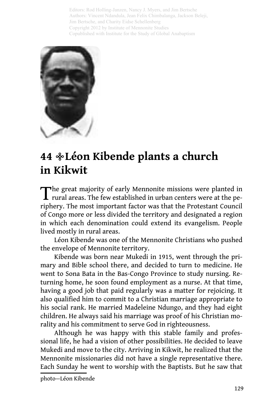Editors: Rod Holling-Janzen, Nancy J. Myers, and Jim Bertsche Authors: Vincent Ndandula, Jean Felix Chimbalanga, Jackson Beleji, Jim Bertsche, and Charity Eidse Schellenberg Copyright 2012 by Institute of Mennonite Studies Copublished with Institute for the Study of Global Anabaptism



## **Léon Kibende plants a church 44 in Kikwit**

The great majority of early Mennonite missions were planted in rural areas. The few established in urban centers were at the periphery. The most important factor was that the Protestant Council of Congo more or less divided the territory and designated a region in which each denomination could extend its evangelism. People lived mostly in rural areas.

Léon Kibende was one of the Mennonite Christians who pushed the envelope of Mennonite territory.

Kibende was born near Mukedi in 1915, went through the primary and Bible school there, and decided to turn to medicine. He went to Sona Bata in the Bas-Congo Province to study nursing. Returning home, he soon found employment as a nurse. At that time, having a good job that paid regularly was a matter for rejoicing. It also qualified him to commit to a Christian marriage appropriate to his social rank. He married Madeleine Ndungo, and they had eight children. He always said his marriage was proof of his Christian morality and his commitment to serve God in righteousness.

Although he was happy with this stable family and professional life, he had a vision of other possibilities. He decided to leave Mukedi and move to the city. Arriving in Kikwit, he realized that the Mennonite missionaries did not have a single representative there. Each Sunday he went to worship with the Baptists. But he saw that

photo—Léon Kibende